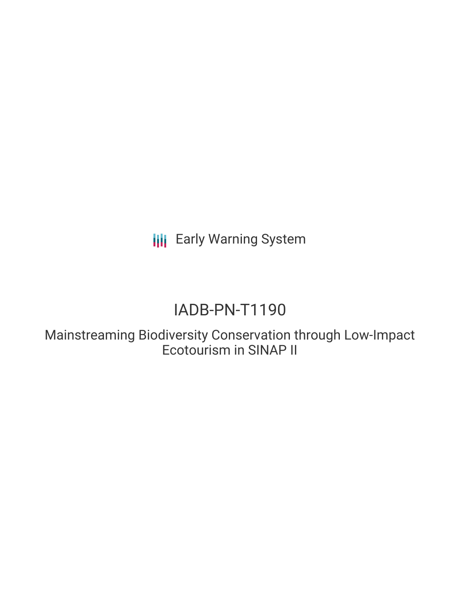**III** Early Warning System

# IADB-PN-T1190

Mainstreaming Biodiversity Conservation through Low-Impact Ecotourism in SINAP II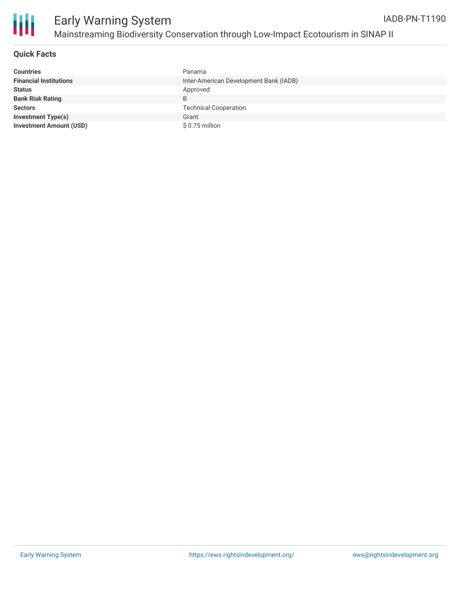

#### **Quick Facts**

| <b>Countries</b>               | Panama                                 |
|--------------------------------|----------------------------------------|
| <b>Financial Institutions</b>  | Inter-American Development Bank (IADB) |
| <b>Status</b>                  | Approved                               |
| <b>Bank Risk Rating</b>        | B                                      |
| <b>Sectors</b>                 | <b>Technical Cooperation</b>           |
| <b>Investment Type(s)</b>      | Grant                                  |
| <b>Investment Amount (USD)</b> | \$0.75 million                         |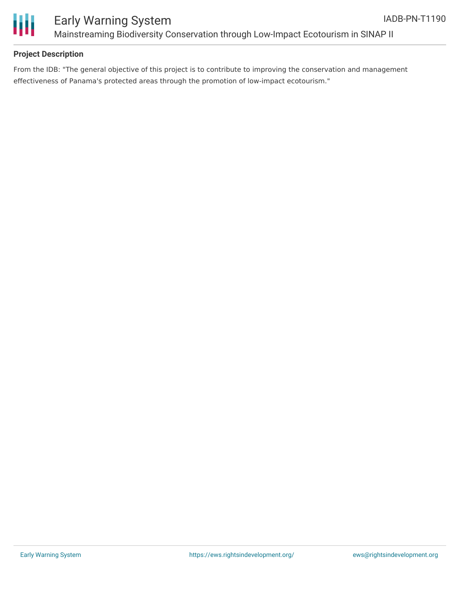

#### **Project Description**

From the IDB: "The general objective of this project is to contribute to improving the conservation and management effectiveness of Panama's protected areas through the promotion of low-impact ecotourism."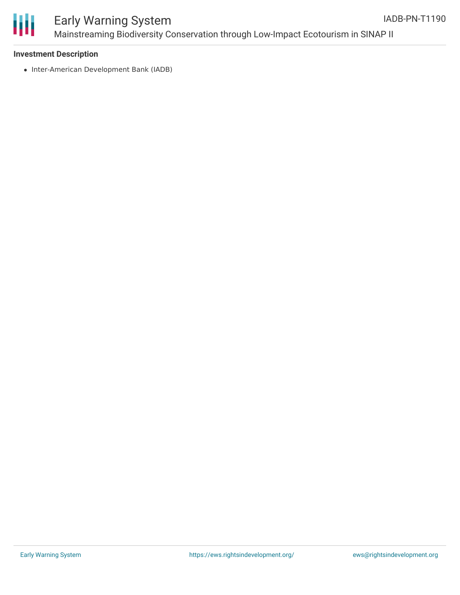

# ₩

### Early Warning System Mainstreaming Biodiversity Conservation through Low-Impact Ecotourism in SINAP II

#### **Investment Description**

• Inter-American Development Bank (IADB)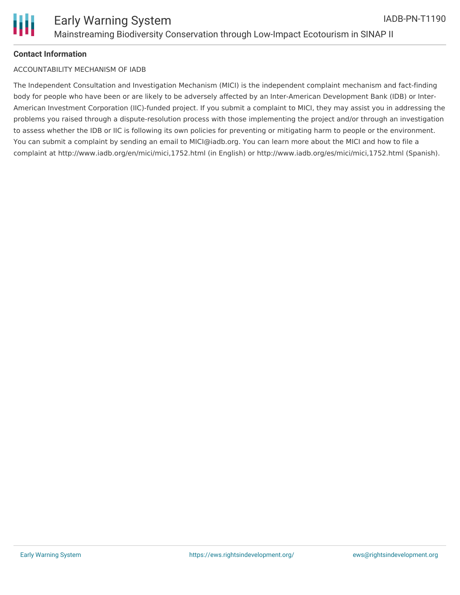#### **Contact Information**

#### ACCOUNTABILITY MECHANISM OF IADB

The Independent Consultation and Investigation Mechanism (MICI) is the independent complaint mechanism and fact-finding body for people who have been or are likely to be adversely affected by an Inter-American Development Bank (IDB) or Inter-American Investment Corporation (IIC)-funded project. If you submit a complaint to MICI, they may assist you in addressing the problems you raised through a dispute-resolution process with those implementing the project and/or through an investigation to assess whether the IDB or IIC is following its own policies for preventing or mitigating harm to people or the environment. You can submit a complaint by sending an email to MICI@iadb.org. You can learn more about the MICI and how to file a complaint at http://www.iadb.org/en/mici/mici,1752.html (in English) or http://www.iadb.org/es/mici/mici,1752.html (Spanish).